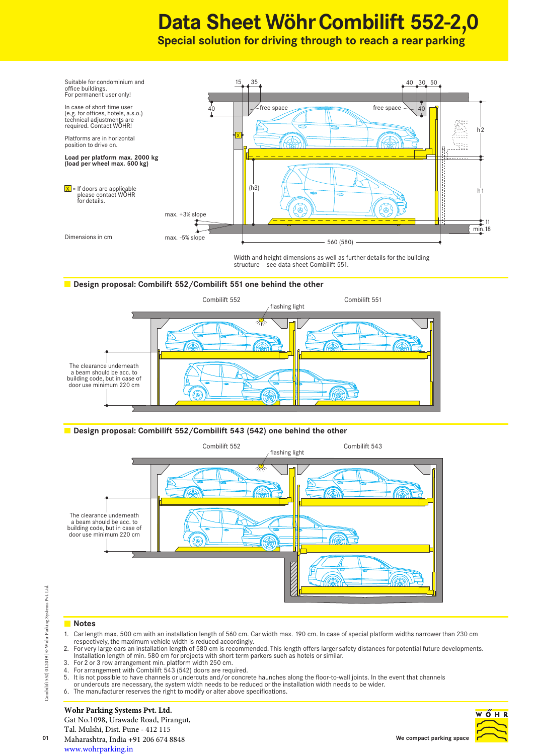# **Data Sheet Wöhr Combilift 552-2,0**

**Special solution for driving through to reach a rear parking**



Width and height dimensions as well as further details for the building structure – see data sheet Combilift 551.

## **Design proposal: Combilift 552/Combilift 551 one behind the other**







# **Notes**

- 1. Car length max. 500 cm with an installation length of 560 cm. Car width max. 190 cm. In case of special platform widths narrower than 230 cm respectively, the maximum vehicle width is reduced accordingly.
- 2. For very large cars an installation length of 580 cm is recommended. This length offers larger safety distances for potential future developments. Installation length of min. 580 cm for projects with short term parkers such as hotels or similar.
- 3. For 2 or 3 row arrangement min. platform width 250 cm.
- 4. For arrangement with Combilift 543 (542) doors are required.
- 5. It is not possible to have channels or undercuts and/or concrete haunches along the floor-to-wall joints. In the event that channels or undercuts are necessary, the system width needs to be reduced or the installation width needs to be wider. 6. The manufacturer reserves the right to modify or alter above specifications.
- 

# **Wohr Parking Systems Pvt. Ltd.**

Gat No.1098, Urawade Road, Pirangut, Tal. Mulshi, Dist. Pune - 412 115 Maharashtra, India +91 206 674 8848 www.wohrparking.in



Combilift 552| 01.2019 | © Wohr Parking Systems Pvt. Ltd.

Combilift 552 | 01.2019 | @ Wohr Parking Systems Pvt. Ltd.